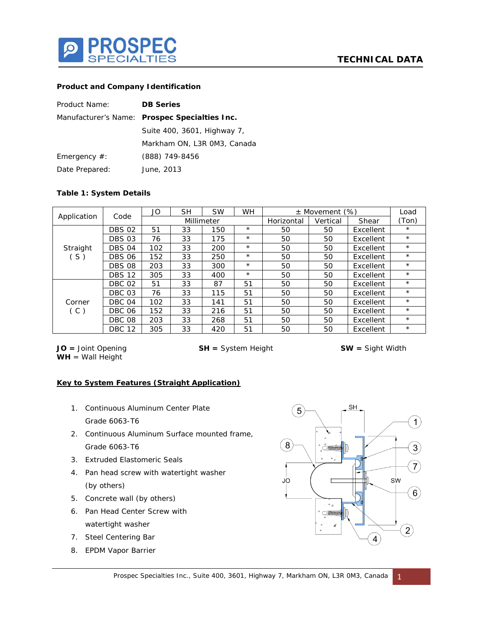

## **Product and Company Identification**

| Product Name:   | <b>DB Series</b>                              |  |  |  |  |
|-----------------|-----------------------------------------------|--|--|--|--|
|                 | Manufacturer's Name: Prospec Specialties Inc. |  |  |  |  |
|                 | Suite 400, 3601, Highway 7,                   |  |  |  |  |
|                 | Markham ON, L3R OM3, Canada                   |  |  |  |  |
| Emergency $#$ : | (888) 749-8456                                |  |  |  |  |
| Date Prepared:  | June, 2013                                    |  |  |  |  |

## **Table 1: System Details**

| Application     | Code          | JO         | <b>SH</b> | <b>SW</b> | <b>WH</b>  |          | $\pm$ Movement (%) |           | Load       |
|-----------------|---------------|------------|-----------|-----------|------------|----------|--------------------|-----------|------------|
|                 |               | Millimeter |           |           | Horizontal | Vertical | Shear              | (Ton)     |            |
| Straight<br>(S) | <b>DBS 02</b> | 51         | 33        | 150       | $^{\star}$ | 50       | 50                 | Excellent | $\star$    |
|                 | <b>DBS 03</b> | 76         | 33        | 175       | $^{\star}$ | 50       | 50                 | Excellent | $^{\star}$ |
|                 | <b>DBS 04</b> | 102        | 33        | 200       | $\star$    | 50       | 50                 | Excellent | $\star$    |
|                 | <b>DBS 06</b> | 152        | 33        | 250       | $\star$    | 50       | 50                 | Excellent | $\star$    |
|                 | <b>DBS 08</b> | 203        | 33        | 300       | $^{\star}$ | 50       | 50                 | Excellent | $\star$    |
|                 | <b>DBS 12</b> | 305        | 33        | 400       | $^{\star}$ | 50       | 50                 | Excellent | $\star$    |
| Corner<br>(C)   | <b>DBC 02</b> | 51         | 33        | 87        | 51         | 50       | 50                 | Excellent | $^{\star}$ |
|                 | DBC 03        | 76         | 33        | 115       | 51         | 50       | 50                 | Excellent | $\star$    |
|                 | DBC 04        | 102        | 33        | 141       | 51         | 50       | 50                 | Excellent | $\star$    |
|                 | <b>DBC 06</b> | 152        | 33        | 216       | 51         | 50       | 50                 | Excellent | $\star$    |
|                 | <b>DBC 08</b> | 203        | 33        | 268       | 51         | 50       | 50                 | Excellent | $^{\star}$ |
|                 | <b>DBC 12</b> | 305        | 33        | 420       | 51         | 50       | 50                 | Excellent | $^{\star}$ |

**JO =** Joint Opening **SH =** System Height **SW =** Sight Width **WH** = Wall Height

## **Key to System Features (Straight Application)**

- 1. Continuous Aluminum Center Plate Grade 6063-T6
- 2. Continuous Aluminum Surface mounted frame, Grade 6063-T6
- 3. Extruded Elastomeric Seals
- 4. Pan head screw with watertight washer (by others)
- 5. Concrete wall (by others)
- 6. Pan Head Center Screw with watertight washer
- 7. Steel Centering Bar
- 8. EPDM Vapor Barrier